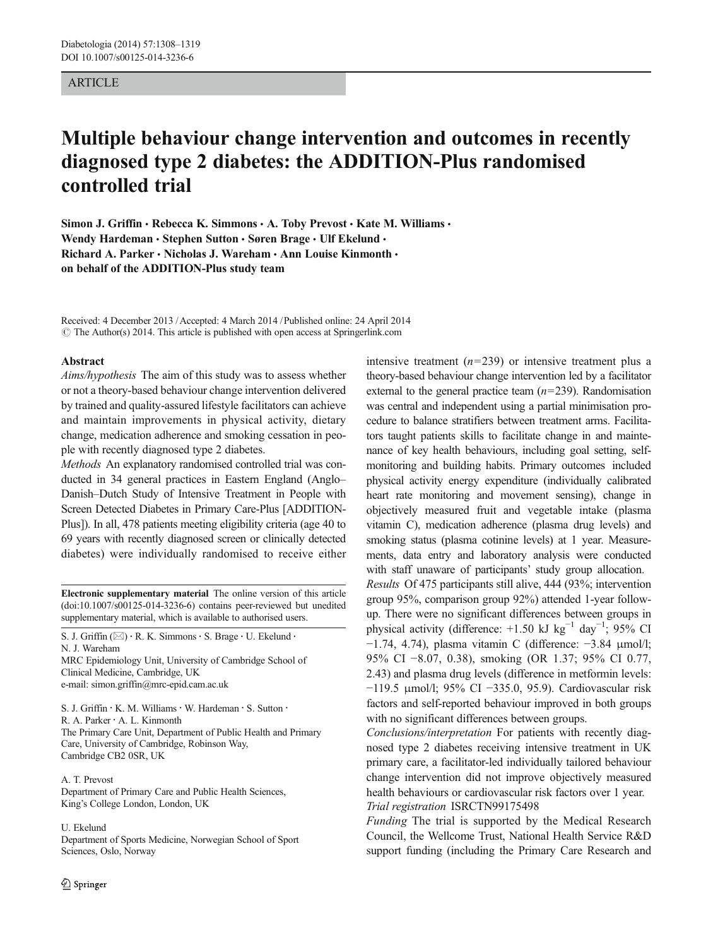### ARTICLE

# Multiple behaviour change intervention and outcomes in recently diagnosed type 2 diabetes: the ADDITION-Plus randomised controlled trial

Simon J. Griffin • Rebecca K. Simmons • A. Toby Prevost • Kate M. Williams • Wendy Hardeman • Stephen Sutton • Søren Brage • Ulf Ekelund • Richard A. Parker · Nicholas J. Wareham · Ann Louise Kinmonth · on behalf of the ADDITION-Plus study team

Received: 4 December 2013 /Accepted: 4 March 2014 /Published online: 24 April 2014  $\odot$  The Author(s) 2014. This article is published with open access at Springerlink.com

#### Abstract

Aims/hypothesis The aim of this study was to assess whether or not a theory-based behaviour change intervention delivered by trained and quality-assured lifestyle facilitators can achieve and maintain improvements in physical activity, dietary change, medication adherence and smoking cessation in people with recently diagnosed type 2 diabetes.

Methods An explanatory randomised controlled trial was conducted in 34 general practices in Eastern England (Anglo– Danish–Dutch Study of Intensive Treatment in People with Screen Detected Diabetes in Primary Care-Plus [ADDITION-Plus]). In all, 478 patients meeting eligibility criteria (age 40 to 69 years with recently diagnosed screen or clinically detected diabetes) were individually randomised to receive either

Electronic supplementary material The online version of this article (doi[:10.1007/s00125-014-3236-6](http://dx.doi.org/10.1007/s00125-014-3236-6)) contains peer-reviewed but unedited supplementary material, which is available to authorised users.

S. J. Griffin ( $\boxtimes$ ) · R. K. Simmons · S. Brage · U. Ekelund · N. J. Wareham MRC Epidemiology Unit, University of Cambridge School of

Clinical Medicine, Cambridge, UK e-mail: simon.griffin@mrc-epid.cam.ac.uk

S. J. Griffin · K. M. Williams · W. Hardeman · S. Sutton ·

R. A. Parker : A. L. Kinmonth

The Primary Care Unit, Department of Public Health and Primary Care, University of Cambridge, Robinson Way, Cambridge CB2 0SR, UK

A. T. Prevost Department of Primary Care and Public Health Sciences, King's College London, London, UK

U. Ekelund

Department of Sports Medicine, Norwegian School of Sport Sciences, Oslo, Norway

intensive treatment  $(n=239)$  or intensive treatment plus a theory-based behaviour change intervention led by a facilitator external to the general practice team  $(n=239)$ . Randomisation was central and independent using a partial minimisation procedure to balance stratifiers between treatment arms. Facilitators taught patients skills to facilitate change in and maintenance of key health behaviours, including goal setting, selfmonitoring and building habits. Primary outcomes included physical activity energy expenditure (individually calibrated heart rate monitoring and movement sensing), change in objectively measured fruit and vegetable intake (plasma vitamin C), medication adherence (plasma drug levels) and smoking status (plasma cotinine levels) at 1 year. Measurements, data entry and laboratory analysis were conducted with staff unaware of participants' study group allocation. Results Of 475 participants still alive, 444 (93%; intervention group 95%, comparison group 92%) attended 1-year followup. There were no significant differences between groups in physical activity (difference: +1.50 kJ kg<sup>-1</sup> day<sup>-1</sup>; 95% CI −1.74, 4.74), plasma vitamin C (difference: −3.84 μmol/l; 95% CI −8.07, 0.38), smoking (OR 1.37; 95% CI 0.77, 2.43) and plasma drug levels (difference in metformin levels: −119.5 μmol/l; 95% CI −335.0, 95.9). Cardiovascular risk factors and self-reported behaviour improved in both groups with no significant differences between groups.

Conclusions/interpretation For patients with recently diagnosed type 2 diabetes receiving intensive treatment in UK primary care, a facilitator-led individually tailored behaviour change intervention did not improve objectively measured health behaviours or cardiovascular risk factors over 1 year. Trial registration ISRCTN99175498

Funding The trial is supported by the Medical Research Council, the Wellcome Trust, National Health Service R&D support funding (including the Primary Care Research and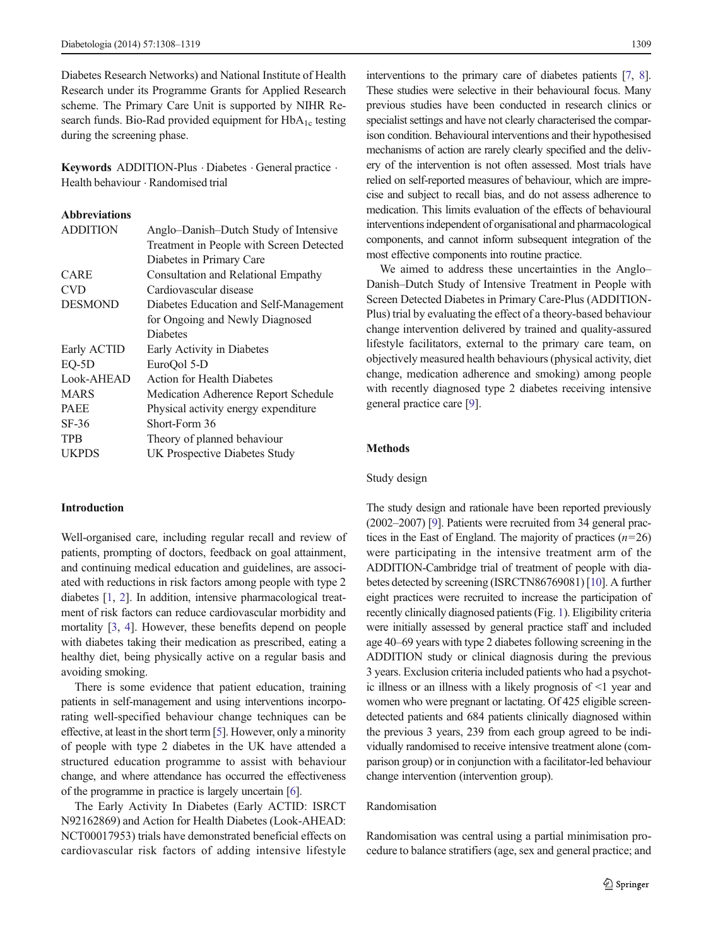Diabetes Research Networks) and National Institute of Health Research under its Programme Grants for Applied Research scheme. The Primary Care Unit is supported by NIHR Research funds. Bio-Rad provided equipment for  $HbA_{1c}$  testing during the screening phase.

Keywords ADDITION-Plus . Diabetes . General practice . Health behaviour . Randomised trial

# Abbreviations

| <b>ADDITION</b> | Anglo-Danish-Dutch Study of Intensive      |
|-----------------|--------------------------------------------|
|                 | Treatment in People with Screen Detected   |
|                 | Diabetes in Primary Care                   |
| CARE            | <b>Consultation and Relational Empathy</b> |
| <b>CVD</b>      | Cardiovascular disease                     |
| <b>DESMOND</b>  | Diabetes Education and Self-Management     |
|                 | for Ongoing and Newly Diagnosed            |
|                 | <b>Diabetes</b>                            |
| Early ACTID     | Early Activity in Diabetes                 |
| $EO-5D$         | EuroQol 5-D                                |
| Look-AHEAD      | <b>Action for Health Diabetes</b>          |
| <b>MARS</b>     | Medication Adherence Report Schedule       |
| <b>PAEE</b>     | Physical activity energy expenditure       |
| $SF-36$         | Short-Form 36                              |
| <b>TPB</b>      | Theory of planned behaviour                |
| <b>UKPDS</b>    | UK Prospective Diabetes Study              |
|                 |                                            |

## Introduction

Well-organised care, including regular recall and review of patients, prompting of doctors, feedback on goal attainment, and continuing medical education and guidelines, are associated with reductions in risk factors among people with type 2 diabetes [\[1](#page-10-0), [2\]](#page-10-0). In addition, intensive pharmacological treatment of risk factors can reduce cardiovascular morbidity and mortality [\[3](#page-10-0), [4](#page-10-0)]. However, these benefits depend on people with diabetes taking their medication as prescribed, eating a healthy diet, being physically active on a regular basis and avoiding smoking.

There is some evidence that patient education, training patients in self-management and using interventions incorporating well-specified behaviour change techniques can be effective, at least in the short term [[5](#page-10-0)]. However, only a minority of people with type 2 diabetes in the UK have attended a structured education programme to assist with behaviour change, and where attendance has occurred the effectiveness of the programme in practice is largely uncertain [\[6](#page-10-0)].

The Early Activity In Diabetes (Early ACTID: ISRCT N92162869) and Action for Health Diabetes (Look-AHEAD: NCT00017953) trials have demonstrated beneficial effects on cardiovascular risk factors of adding intensive lifestyle interventions to the primary care of diabetes patients [[7](#page-10-0), [8\]](#page-10-0). These studies were selective in their behavioural focus. Many previous studies have been conducted in research clinics or specialist settings and have not clearly characterised the comparison condition. Behavioural interventions and their hypothesised mechanisms of action are rarely clearly specified and the delivery of the intervention is not often assessed. Most trials have relied on self-reported measures of behaviour, which are imprecise and subject to recall bias, and do not assess adherence to medication. This limits evaluation of the effects of behavioural interventions independent of organisational and pharmacological components, and cannot inform subsequent integration of the most effective components into routine practice.

We aimed to address these uncertainties in the Anglo– Danish–Dutch Study of Intensive Treatment in People with Screen Detected Diabetes in Primary Care-Plus (ADDITION-Plus) trial by evaluating the effect of a theory-based behaviour change intervention delivered by trained and quality-assured lifestyle facilitators, external to the primary care team, on objectively measured health behaviours (physical activity, diet change, medication adherence and smoking) among people with recently diagnosed type 2 diabetes receiving intensive general practice care [[9\]](#page-10-0).

## Methods

#### Study design

The study design and rationale have been reported previously (2002–2007) [[9\]](#page-10-0). Patients were recruited from 34 general practices in the East of England. The majority of practices  $(n=26)$ were participating in the intensive treatment arm of the ADDITION-Cambridge trial of treatment of people with diabetes detected by screening (ISRCTN86769081) [\[10\]](#page-10-0). A further eight practices were recruited to increase the participation of recently clinically diagnosed patients (Fig. [1](#page-2-0)). Eligibility criteria were initially assessed by general practice staff and included age 40–69 years with type 2 diabetes following screening in the ADDITION study or clinical diagnosis during the previous 3 years. Exclusion criteria included patients who had a psychotic illness or an illness with a likely prognosis of <1 year and women who were pregnant or lactating. Of 425 eligible screendetected patients and 684 patients clinically diagnosed within the previous 3 years, 239 from each group agreed to be individually randomised to receive intensive treatment alone (comparison group) or in conjunction with a facilitator-led behaviour change intervention (intervention group).

## Randomisation

Randomisation was central using a partial minimisation procedure to balance stratifiers (age, sex and general practice; and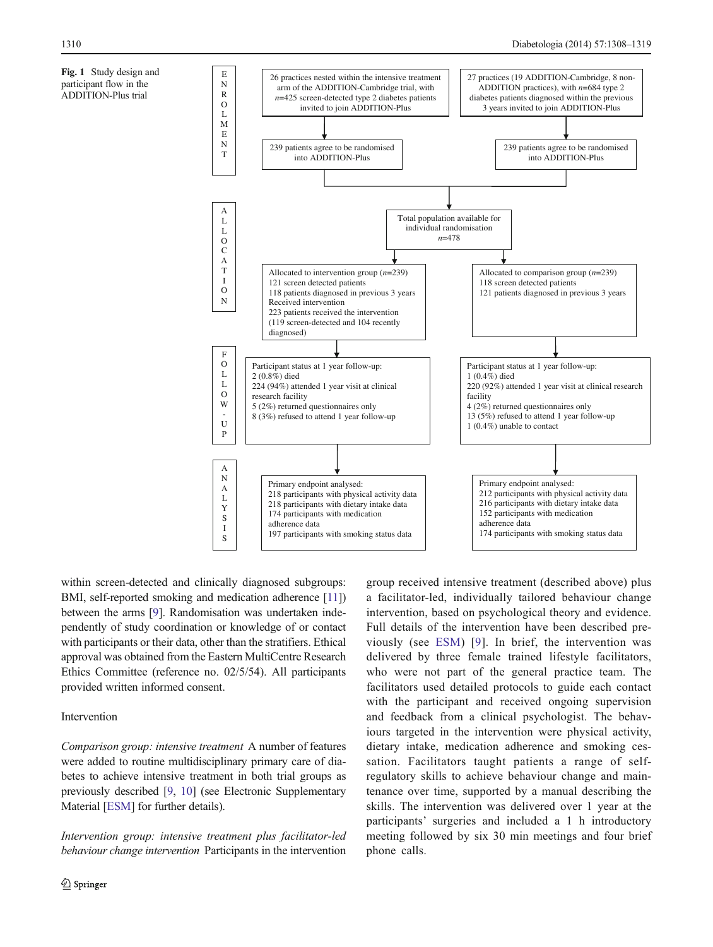<span id="page-2-0"></span>

within screen-detected and clinically diagnosed subgroups: BMI, self-reported smoking and medication adherence [\[11\]](#page-10-0)) between the arms [[9\]](#page-10-0). Randomisation was undertaken independently of study coordination or knowledge of or contact with participants or their data, other than the stratifiers. Ethical approval was obtained from the Eastern MultiCentre Research Ethics Committee (reference no. 02/5/54). All participants provided written informed consent.

## Intervention

Comparison group: intensive treatment A number of features were added to routine multidisciplinary primary care of diabetes to achieve intensive treatment in both trial groups as previously described [[9,](#page-10-0) [10\]](#page-10-0) (see Electronic Supplementary Material [ESM] for further details).

Intervention group: intensive treatment plus facilitator-led behaviour change intervention Participants in the intervention group received intensive treatment (described above) plus a facilitator-led, individually tailored behaviour change intervention, based on psychological theory and evidence. Full details of the intervention have been described previously (see ESM) [[9](#page-10-0)]. In brief, the intervention was delivered by three female trained lifestyle facilitators, who were not part of the general practice team. The facilitators used detailed protocols to guide each contact with the participant and received ongoing supervision and feedback from a clinical psychologist. The behaviours targeted in the intervention were physical activity, dietary intake, medication adherence and smoking cessation. Facilitators taught patients a range of selfregulatory skills to achieve behaviour change and maintenance over time, supported by a manual describing the skills. The intervention was delivered over 1 year at the participants' surgeries and included a 1 h introductory meeting followed by six 30 min meetings and four brief phone calls.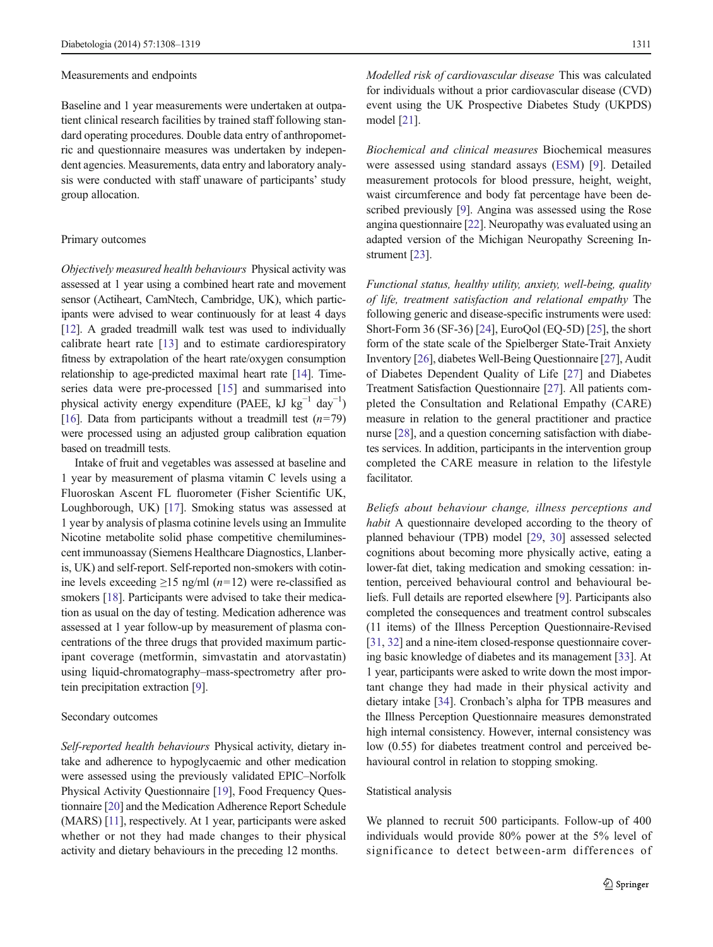#### Measurements and endpoints

Baseline and 1 year measurements were undertaken at outpatient clinical research facilities by trained staff following standard operating procedures. Double data entry of anthropometric and questionnaire measures was undertaken by independent agencies. Measurements, data entry and laboratory analysis were conducted with staff unaware of participants' study group allocation.

#### Primary outcomes

Objectively measured health behaviours Physical activity was assessed at 1 year using a combined heart rate and movement sensor (Actiheart, CamNtech, Cambridge, UK), which participants were advised to wear continuously for at least 4 days [\[12\]](#page-10-0). A graded treadmill walk test was used to individually calibrate heart rate [[13\]](#page-10-0) and to estimate cardiorespiratory fitness by extrapolation of the heart rate/oxygen consumption relationship to age-predicted maximal heart rate [\[14\]](#page-11-0). Timeseries data were pre-processed [[15\]](#page-11-0) and summarised into physical activity energy expenditure (PAEE, kJ kg<sup>-1</sup> day<sup>-1</sup>) [\[16\]](#page-11-0). Data from participants without a treadmill test  $(n=79)$ were processed using an adjusted group calibration equation based on treadmill tests.

Intake of fruit and vegetables was assessed at baseline and 1 year by measurement of plasma vitamin C levels using a Fluoroskan Ascent FL fluorometer (Fisher Scientific UK, Loughborough, UK) [\[17](#page-11-0)]. Smoking status was assessed at 1 year by analysis of plasma cotinine levels using an Immulite Nicotine metabolite solid phase competitive chemiluminescent immunoassay (Siemens Healthcare Diagnostics, Llanberis, UK) and self-report. Self-reported non-smokers with cotinine levels exceeding  $\geq$ 15 ng/ml (n=12) were re-classified as smokers [\[18\]](#page-11-0). Participants were advised to take their medication as usual on the day of testing. Medication adherence was assessed at 1 year follow-up by measurement of plasma concentrations of the three drugs that provided maximum participant coverage (metformin, simvastatin and atorvastatin) using liquid-chromatography–mass-spectrometry after protein precipitation extraction [[9](#page-10-0)].

## Secondary outcomes

Self-reported health behaviours Physical activity, dietary intake and adherence to hypoglycaemic and other medication were assessed using the previously validated EPIC–Norfolk Physical Activity Questionnaire [\[19\]](#page-11-0), Food Frequency Questionnaire [\[20](#page-11-0)] and the Medication Adherence Report Schedule (MARS) [[11](#page-10-0)], respectively. At 1 year, participants were asked whether or not they had made changes to their physical activity and dietary behaviours in the preceding 12 months.

Modelled risk of cardiovascular disease This was calculated for individuals without a prior cardiovascular disease (CVD) event using the UK Prospective Diabetes Study (UKPDS) model [\[21\]](#page-11-0).

Biochemical and clinical measures Biochemical measures were assessed using standard assays (ESM) [[9\]](#page-10-0). Detailed measurement protocols for blood pressure, height, weight, waist circumference and body fat percentage have been described previously [[9\]](#page-10-0). Angina was assessed using the Rose angina questionnaire [\[22\]](#page-11-0). Neuropathy was evaluated using an adapted version of the Michigan Neuropathy Screening Instrument [[23](#page-11-0)].

Functional status, healthy utility, anxiety, well-being, quality of life, treatment satisfaction and relational empathy The following generic and disease-specific instruments were used: Short-Form 36 (SF-36) [[24](#page-11-0)], EuroQol (EQ-5D) [\[25](#page-11-0)], the short form of the state scale of the Spielberger State-Trait Anxiety Inventory [[26\]](#page-11-0), diabetes Well-Being Questionnaire [[27\]](#page-11-0), Audit of Diabetes Dependent Quality of Life [[27\]](#page-11-0) and Diabetes Treatment Satisfaction Questionnaire [\[27](#page-11-0)]. All patients completed the Consultation and Relational Empathy (CARE) measure in relation to the general practitioner and practice nurse [[28](#page-11-0)], and a question concerning satisfaction with diabetes services. In addition, participants in the intervention group completed the CARE measure in relation to the lifestyle facilitator.

Beliefs about behaviour change, illness perceptions and habit A questionnaire developed according to the theory of planned behaviour (TPB) model [\[29](#page-11-0), [30](#page-11-0)] assessed selected cognitions about becoming more physically active, eating a lower-fat diet, taking medication and smoking cessation: intention, perceived behavioural control and behavioural beliefs. Full details are reported elsewhere [\[9](#page-10-0)]. Participants also completed the consequences and treatment control subscales (11 items) of the Illness Perception Questionnaire-Revised [\[31](#page-11-0), [32\]](#page-11-0) and a nine-item closed-response questionnaire covering basic knowledge of diabetes and its management [[33](#page-11-0)]. At 1 year, participants were asked to write down the most important change they had made in their physical activity and dietary intake [[34\]](#page-11-0). Cronbach's alpha for TPB measures and the Illness Perception Questionnaire measures demonstrated high internal consistency. However, internal consistency was low (0.55) for diabetes treatment control and perceived behavioural control in relation to stopping smoking.

#### Statistical analysis

We planned to recruit 500 participants. Follow-up of 400 individuals would provide 80% power at the 5% level of significance to detect between-arm differences of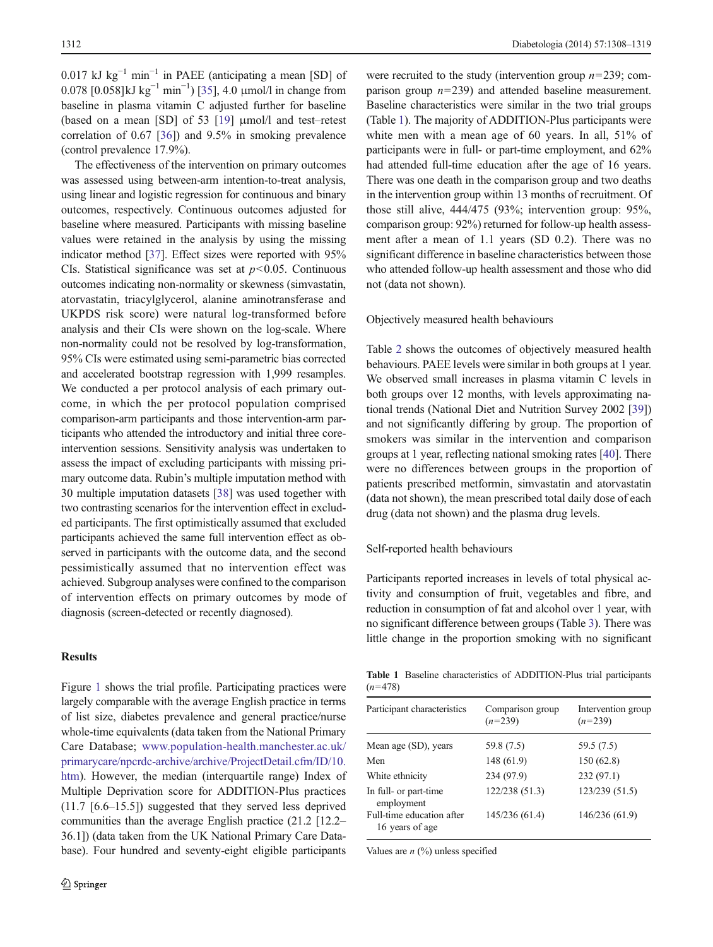0.017 kJ kg<sup>-1</sup> min<sup>-1</sup> in PAEE (anticipating a mean [SD] of 0.078 [0.058]kJ kg<sup>-1</sup> min<sup>-1</sup>) [\[35\]](#page-11-0), 4.0 μmol/l in change from baseline in plasma vitamin C adjusted further for baseline (based on a mean [SD] of 53 [\[19](#page-11-0)] μmol/l and test–retest correlation of 0.67 [[36\]](#page-11-0)) and 9.5% in smoking prevalence (control prevalence 17.9%).

The effectiveness of the intervention on primary outcomes was assessed using between-arm intention-to-treat analysis, using linear and logistic regression for continuous and binary outcomes, respectively. Continuous outcomes adjusted for baseline where measured. Participants with missing baseline values were retained in the analysis by using the missing indicator method [[37](#page-11-0)]. Effect sizes were reported with 95% CIs. Statistical significance was set at  $p < 0.05$ . Continuous outcomes indicating non-normality or skewness (simvastatin, atorvastatin, triacylglycerol, alanine aminotransferase and UKPDS risk score) were natural log-transformed before analysis and their CIs were shown on the log-scale. Where non-normality could not be resolved by log-transformation, 95% CIs were estimated using semi-parametric bias corrected and accelerated bootstrap regression with 1,999 resamples. We conducted a per protocol analysis of each primary outcome, in which the per protocol population comprised comparison-arm participants and those intervention-arm participants who attended the introductory and initial three coreintervention sessions. Sensitivity analysis was undertaken to assess the impact of excluding participants with missing primary outcome data. Rubin's multiple imputation method with 30 multiple imputation datasets [\[38](#page-11-0)] was used together with two contrasting scenarios for the intervention effect in excluded participants. The first optimistically assumed that excluded participants achieved the same full intervention effect as observed in participants with the outcome data, and the second pessimistically assumed that no intervention effect was achieved. Subgroup analyses were confined to the comparison of intervention effects on primary outcomes by mode of diagnosis (screen-detected or recently diagnosed).

## **Results**

Figure [1](#page-2-0) shows the trial profile. Participating practices were largely comparable with the average English practice in terms of list size, diabetes prevalence and general practice/nurse whole-time equivalents (data taken from the National Primary Care Database; [www.population-health.manchester.ac.uk/](http://www.population-health.manchester.ac.uk/primarycare/npcrdc-archive/archive/ProjectDetail.cfm/ID/10.htm) [primarycare/npcrdc-archive/archive/ProjectDetail.cfm/ID/10.](http://www.population-health.manchester.ac.uk/primarycare/npcrdc-archive/archive/ProjectDetail.cfm/ID/10.htm) [htm](http://www.population-health.manchester.ac.uk/primarycare/npcrdc-archive/archive/ProjectDetail.cfm/ID/10.htm)). However, the median (interquartile range) Index of Multiple Deprivation score for ADDITION-Plus practices (11.7 [6.6–15.5]) suggested that they served less deprived communities than the average English practice (21.2 [12.2– 36.1]) (data taken from the UK National Primary Care Database). Four hundred and seventy-eight eligible participants

were recruited to the study (intervention group  $n=239$ ; comparison group  $n=239$ ) and attended baseline measurement. Baseline characteristics were similar in the two trial groups (Table 1). The majority of ADDITION-Plus participants were white men with a mean age of 60 years. In all, 51% of participants were in full- or part-time employment, and 62% had attended full-time education after the age of 16 years. There was one death in the comparison group and two deaths in the intervention group within 13 months of recruitment. Of those still alive, 444/475 (93%; intervention group: 95%, comparison group: 92%) returned for follow-up health assessment after a mean of 1.1 years (SD 0.2). There was no significant difference in baseline characteristics between those who attended follow-up health assessment and those who did not (data not shown).

#### Objectively measured health behaviours

Table [2](#page-5-0) shows the outcomes of objectively measured health behaviours. PAEE levels were similar in both groups at 1 year. We observed small increases in plasma vitamin C levels in both groups over 12 months, with levels approximating national trends (National Diet and Nutrition Survey 2002 [\[39\]](#page-11-0)) and not significantly differing by group. The proportion of smokers was similar in the intervention and comparison groups at 1 year, reflecting national smoking rates [\[40\]](#page-11-0). There were no differences between groups in the proportion of patients prescribed metformin, simvastatin and atorvastatin (data not shown), the mean prescribed total daily dose of each drug (data not shown) and the plasma drug levels.

### Self-reported health behaviours

Participants reported increases in levels of total physical activity and consumption of fruit, vegetables and fibre, and reduction in consumption of fat and alcohol over 1 year, with no significant difference between groups (Table [3\)](#page-5-0). There was little change in the proportion smoking with no significant

Table 1 Baseline characteristics of ADDITION-Plus trial participants  $(n=478)$ 

| Participant characteristics                  | Comparison group<br>$(n=239)$ | Intervention group<br>$(n=239)$ |  |  |
|----------------------------------------------|-------------------------------|---------------------------------|--|--|
| Mean age (SD), years                         | 59.8 (7.5)                    | 59.5 (7.5)                      |  |  |
| Men                                          | 148 (61.9)                    | 150 (62.8)                      |  |  |
| White ethnicity                              | 234 (97.9)                    | 232(97.1)                       |  |  |
| In full- or part-time<br>employment          | 122/238 (51.3)                | 123/239 (51.5)                  |  |  |
| Full-time education after<br>16 years of age | 145/236 (61.4)                | 146/236 (61.9)                  |  |  |

Values are  $n$  (%) unless specified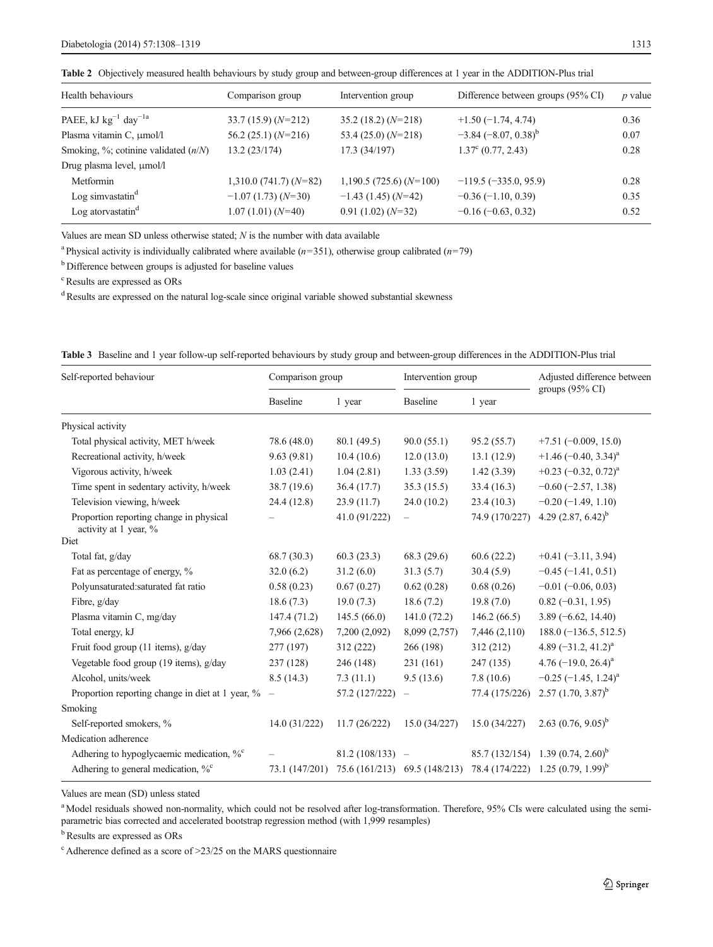<span id="page-5-0"></span>

|  | <b>Table 2</b> Objectively measured health behaviours by study group and between-group differences at 1 year in the ADDITION-Plus trial |  |  |  |  |  |  |
|--|-----------------------------------------------------------------------------------------------------------------------------------------|--|--|--|--|--|--|
|--|-----------------------------------------------------------------------------------------------------------------------------------------|--|--|--|--|--|--|

| Health behaviours                            | Comparison group         | Intervention group      | Difference between groups (95% CI) | $p$ value |
|----------------------------------------------|--------------------------|-------------------------|------------------------------------|-----------|
| PAEE, kJ $\text{kg}^{-1}$ day <sup>-1a</sup> | $33.7(15.9)(N=212)$      | $35.2(18.2)(N=218)$     | $+1.50(-1.74, 4.74)$               | 0.36      |
| Plasma vitamin C, µmol/l                     | $56.2(25.1)(N=216)$      | 53.4 $(25.0)$ $(N=218)$ | $-3.84 (-8.07, 0.38)^{b}$          | 0.07      |
| Smoking, $\%$ ; cotinine validated $(n/N)$   | 13.2(23/174)             | 17.3(34/197)            | $1.37^{\circ}$ (0.77, 2.43)        | 0.28      |
| Drug plasma level, µmol/l                    |                          |                         |                                    |           |
| Metformin                                    | $1,310.0$ (741.7) (N=82) | $1,190.5(725.6)(N=100)$ | $-119.5 (-335.0, 95.9)$            | 0.28      |
| Log simvastatin $d$                          | $-1.07(1.73)(N=30)$      | $-1.43$ (1.45) (N=42)   | $-0.36(-1.10, 0.39)$               | 0.35      |
| Log atorvastatin <sup>d</sup>                | $1.07(1.01)(N=40)$       | $0.91(1.02)(N=32)$      | $-0.16(-0.63, 0.32)$               | 0.52      |
|                                              |                          |                         |                                    |           |

Values are mean SD unless otherwise stated; N is the number with data available

<sup>a</sup> Physical activity is individually calibrated where available ( $n=351$ ), otherwise group calibrated ( $n=79$ )

<sup>b</sup> Difference between groups is adjusted for baseline values

c Results are expressed as ORs

<sup>d</sup> Results are expressed on the natural log-scale since original variable showed substantial skewness

|  |  | Table 3 Baseline and 1 year follow-up self-reported behaviours by study group and between-group differences in the ADDITION-Plus trial |  |  |  |  |
|--|--|----------------------------------------------------------------------------------------------------------------------------------------|--|--|--|--|
|--|--|----------------------------------------------------------------------------------------------------------------------------------------|--|--|--|--|

| Self-reported behaviour                                          | Comparison group |                   | Intervention group            |                | Adjusted difference between                   |  |
|------------------------------------------------------------------|------------------|-------------------|-------------------------------|----------------|-----------------------------------------------|--|
|                                                                  | <b>Baseline</b>  | 1 year            | <b>Baseline</b>               | 1 year         | groups $(95\% \text{ CI})$                    |  |
| Physical activity                                                |                  |                   |                               |                |                                               |  |
| Total physical activity, MET h/week                              | 78.6 (48.0)      | 80.1(49.5)        | 90.0(55.1)                    | 95.2(55.7)     | $+7.51(-0.009, 15.0)$                         |  |
| Recreational activity, h/week                                    | 9.63(9.81)       | 10.4(10.6)        | 12.0(13.0)                    | 13.1(12.9)     | $+1.46$ (-0.40, 3.34) <sup>a</sup>            |  |
| Vigorous activity, h/week                                        | 1.03(2.41)       | 1.04(2.81)        | 1.33(3.59)                    | 1.42(3.39)     | $+0.23$ (-0.32, 0.72) <sup>a</sup>            |  |
| Time spent in sedentary activity, h/week                         | 38.7 (19.6)      | 36.4(17.7)        | 35.3(15.5)                    | 33.4(16.3)     | $-0.60$ ( $-2.57$ , 1.38)                     |  |
| Television viewing, h/week                                       | 24.4 (12.8)      | 23.9(11.7)        | 24.0(10.2)                    | 23.4(10.3)     | $-0.20$ ( $-1.49$ , 1.10)                     |  |
| Proportion reporting change in physical<br>activity at 1 year, % |                  | 41.0 (91/222)     |                               | 74.9 (170/227) | 4.29 $(2.87, 6.42)^b$                         |  |
| Diet                                                             |                  |                   |                               |                |                                               |  |
| Total fat, g/day                                                 | 68.7(30.3)       | 60.3(23.3)        | 68.3(29.6)                    | 60.6(22.2)     | $+0.41(-3.11, 3.94)$                          |  |
| Fat as percentage of energy, %                                   | 32.0(6.2)        | 31.2(6.0)         | 31.3(5.7)                     | 30.4(5.9)      | $-0.45$ ( $-1.41$ , 0.51)                     |  |
| Polyunsaturated:saturated fat ratio                              | 0.58(0.23)       | 0.67(0.27)        | 0.62(0.28)                    | 0.68(0.26)     | $-0.01$ ( $-0.06$ , 0.03)                     |  |
| Fibre, g/day                                                     | 18.6(7.3)        | 19.0(7.3)         | 18.6(7.2)                     | 19.8(7.0)      | $0.82(-0.31, 1.95)$                           |  |
| Plasma vitamin C, mg/day                                         | 147.4(71.2)      | 145.5(66.0)       | 141.0(72.2)                   | 146.2(66.5)    | $3.89(-6.62, 14.40)$                          |  |
| Total energy, kJ                                                 | 7,966 (2,628)    | 7,200 (2,092)     | 8,099 (2,757)                 | 7,446 (2,110)  | $188.0 (-136.5, 512.5)$                       |  |
| Fruit food group (11 items), g/day                               | 277 (197)        | 312(222)          | 266 (198)                     | 312(212)       | 4.89 $(-31.2, 41.2)^{a}$                      |  |
| Vegetable food group (19 items), g/day                           | 237 (128)        | 246 (148)         | 231(161)                      | 247 (135)      | 4.76 $(-19.0, 26.4)^a$                        |  |
| Alcohol, units/week                                              | 8.5(14.3)        | 7.3(11.1)         | 9.5(13.6)                     | 7.8(10.6)      | $-0.25$ (-1.45, 1.24) <sup>a</sup>            |  |
| Proportion reporting change in diet at 1 year, $\%$ –            |                  | 57.2 (127/222)    |                               | 77.4 (175/226) | $2.57$ $(1.70, 3.87)^b$                       |  |
| <b>Smoking</b>                                                   |                  |                   |                               |                |                                               |  |
| Self-reported smokers, %                                         | 14.0(31/222)     | 11.7(26/222)      | 15.0(34/227)                  | 15.0 (34/227)  | 2.63 $(0.76, 9.05)^b$                         |  |
| Medication adherence                                             |                  |                   |                               |                |                                               |  |
| Adhering to hypoglycaemic medication, $\%^c$                     |                  | $81.2(108/133) -$ |                               | 85.7 (132/154) | 1.39 $(0.74, 2.60)^b$                         |  |
| Adhering to general medication, $\%^c$                           | 73.1 (147/201)   |                   | 75.6 (161/213) 69.5 (148/213) |                | 78.4 (174/222) 1.25 (0.79, 1.99) <sup>b</sup> |  |

Values are mean (SD) unless stated

<sup>a</sup> Model residuals showed non-normality, which could not be resolved after log-transformation. Therefore, 95% CIs were calculated using the semiparametric bias corrected and accelerated bootstrap regression method (with 1,999 resamples)

<sup>b</sup> Results are expressed as ORs

<sup>c</sup> Adherence defined as a score of >23/25 on the MARS questionnaire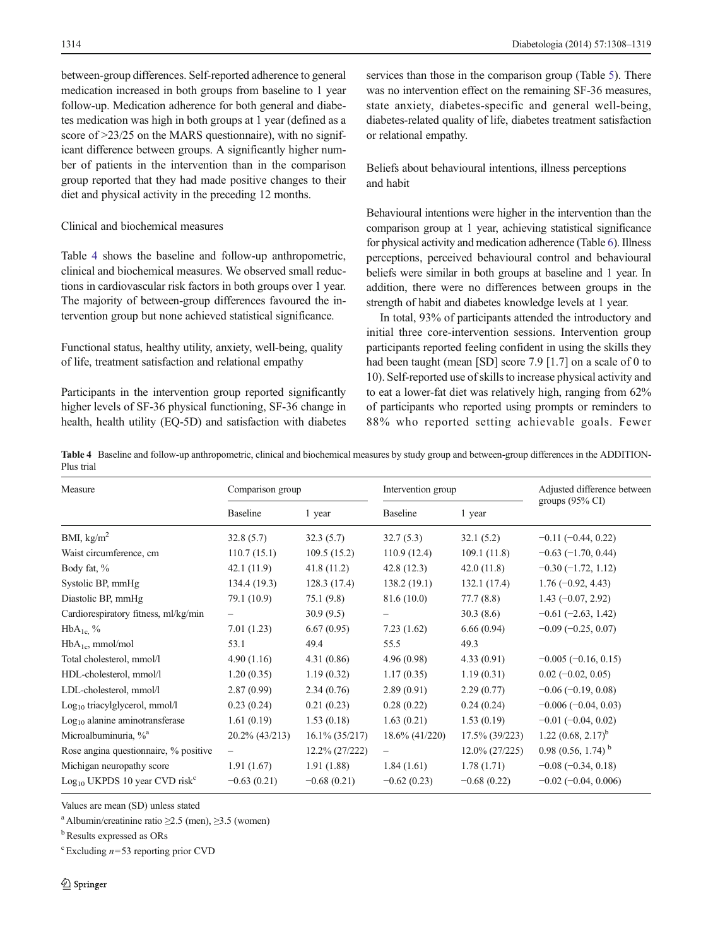between-group differences. Self-reported adherence to general medication increased in both groups from baseline to 1 year follow-up. Medication adherence for both general and diabetes medication was high in both groups at 1 year (defined as a score of  $>23/25$  on the MARS questionnaire), with no significant difference between groups. A significantly higher number of patients in the intervention than in the comparison group reported that they had made positive changes to their diet and physical activity in the preceding 12 months.

## Clinical and biochemical measures

Table 4 shows the baseline and follow-up anthropometric, clinical and biochemical measures. We observed small reductions in cardiovascular risk factors in both groups over 1 year. The majority of between-group differences favoured the intervention group but none achieved statistical significance.

# Functional status, healthy utility, anxiety, well-being, quality of life, treatment satisfaction and relational empathy

Participants in the intervention group reported significantly higher levels of SF-36 physical functioning, SF-36 change in health, health utility (EQ-5D) and satisfaction with diabetes services than those in the comparison group (Table [5](#page-7-0)). There was no intervention effect on the remaining SF-36 measures. state anxiety, diabetes-specific and general well-being, diabetes-related quality of life, diabetes treatment satisfaction or relational empathy.

# Beliefs about behavioural intentions, illness perceptions and habit

Behavioural intentions were higher in the intervention than the comparison group at 1 year, achieving statistical significance for physical activity and medication adherence (Table [6\)](#page-8-0). Illness perceptions, perceived behavioural control and behavioural beliefs were similar in both groups at baseline and 1 year. In addition, there were no differences between groups in the strength of habit and diabetes knowledge levels at 1 year.

In total, 93% of participants attended the introductory and initial three core-intervention sessions. Intervention group participants reported feeling confident in using the skills they had been taught (mean [SD] score 7.9 [1.7] on a scale of 0 to 10). Self-reported use of skills to increase physical activity and to eat a lower-fat diet was relatively high, ranging from 62% of participants who reported using prompts or reminders to 88% who reported setting achievable goals. Fewer

Table 4 Baseline and follow-up anthropometric, clinical and biochemical measures by study group and between-group differences in the ADDITION-Plus trial

| Measure                                        | Comparison group         |                   | Intervention group |                   | Adjusted difference between  |  |
|------------------------------------------------|--------------------------|-------------------|--------------------|-------------------|------------------------------|--|
|                                                | <b>Baseline</b>          | 1 year            | <b>Baseline</b>    | 1 year            | groups $(95\% \text{ CI})$   |  |
| BMI, $\text{kg/m}^2$                           | 32.8(5.7)                | 32.3(5.7)         | 32.7(5.3)          | 32.1(5.2)         | $-0.11$ $(-0.44, 0.22)$      |  |
| Waist circumference, cm                        | 110.7(15.1)              | 109.5(15.2)       | 110.9(12.4)        | 109.1(11.8)       | $-0.63(-1.70, 0.44)$         |  |
| Body fat, %                                    | 42.1(11.9)               | 41.8(11.2)        | 42.8(12.3)         | 42.0(11.8)        | $-0.30(-1.72, 1.12)$         |  |
| Systolic BP, mmHg                              | 134.4(19.3)              | 128.3(17.4)       | 138.2(19.1)        | 132.1(17.4)       | $1.76(-0.92, 4.43)$          |  |
| Diastolic BP, mmHg                             | 79.1 (10.9)              | 75.1(9.8)         | 81.6 (10.0)        | 77.7(8.8)         | $1.43 (-0.07, 2.92)$         |  |
| Cardiorespiratory fitness, ml/kg/min           |                          | 30.9(9.5)         |                    | 30.3(8.6)         | $-0.61$ ( $-2.63$ , 1.42)    |  |
| $HbA_{1c}$ %                                   | 7.01(1.23)               | 6.67(0.95)        | 7.23(1.62)         | 6.66(0.94)        | $-0.09$ ( $-0.25$ , 0.07)    |  |
| $HbA_{1c}$ , mmol/mol                          | 53.1                     | 49.4              | 55.5               | 49.3              |                              |  |
| Total cholesterol, mmol/l                      | 4.90(1.16)               | 4.31(0.86)        | 4.96(0.98)         | 4.33(0.91)        | $-0.005(-0.16, 0.15)$        |  |
| HDL-cholesterol, mmol/l                        | 1.20(0.35)               | 1.19(0.32)        | 1.17(0.35)         | 1.19(0.31)        | $0.02 (-0.02, 0.05)$         |  |
| LDL-cholesterol, mmol/l                        | 2.87(0.99)               | 2.34(0.76)        | 2.89(0.91)         | 2.29(0.77)        | $-0.06$ ( $-0.19$ , 0.08)    |  |
| $Log10$ triacylglycerol, mmol/l                | 0.23(0.24)               | 0.21(0.23)        | 0.28(0.22)         | 0.24(0.24)        | $-0.006(-0.04, 0.03)$        |  |
| $Log10$ alanine aminotransferase               | 1.61(0.19)               | 1.53(0.18)        | 1.63(0.21)         | 1.53(0.19)        | $-0.01$ ( $-0.04$ , 0.02)    |  |
| Microalbuminuria, % <sup>a</sup>               | 20.2% (43/213)           | $16.1\% (35/217)$ | $18.6\%$ (41/220)  | $17.5\%$ (39/223) | 1.22 $(0.68, 2.17)^b$        |  |
| Rose angina questionnaire, % positive          | $\overline{\phantom{0}}$ | 12.2% (27/222)    |                    | $12.0\% (27/225)$ | 0.98 (0.56, 1.74) $^{\rm b}$ |  |
| Michigan neuropathy score                      | 1.91(1.67)               | 1.91(1.88)        | 1.84(1.61)         | 1.78(1.71)        | $-0.08$ ( $-0.34$ , 0.18)    |  |
| $Log_{10}$ UKPDS 10 year CVD risk <sup>c</sup> | $-0.63(0.21)$            | $-0.68(0.21)$     | $-0.62(0.23)$      | $-0.68(0.22)$     | $-0.02$ ( $-0.04$ , 0.006)   |  |

Values are mean (SD) unless stated

<sup>a</sup> Albumin/creatinine ratio  $\geq$ 2.5 (men),  $\geq$ 3.5 (women)

<sup>b</sup> Results expressed as ORs

 $c$  Excluding  $n=53$  reporting prior CVD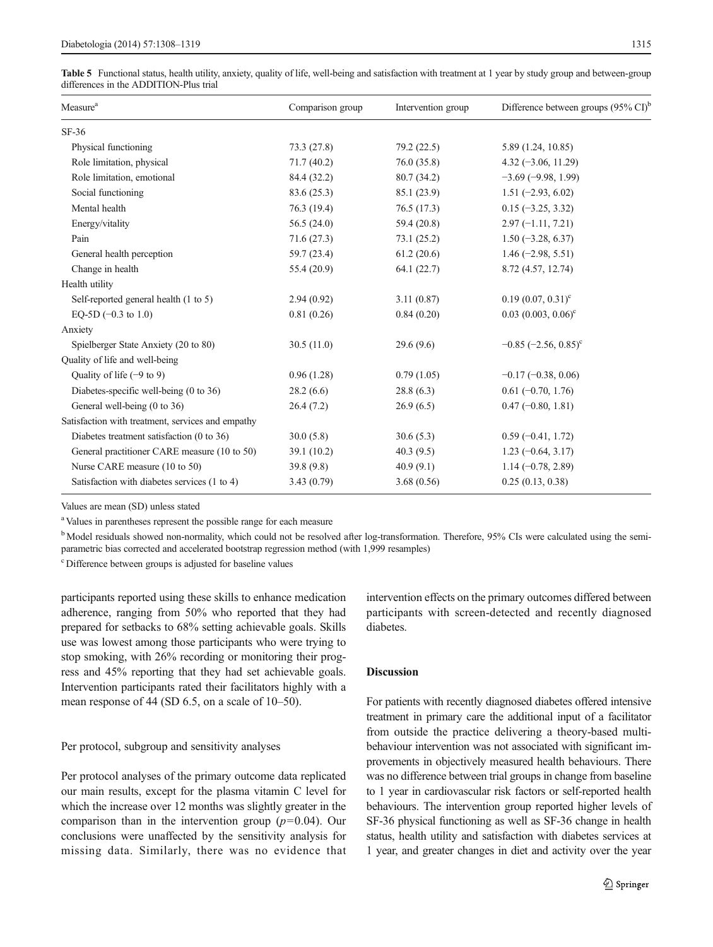<span id="page-7-0"></span>Table 5 Functional status, health utility, anxiety, quality of life, well-being and satisfaction with treatment at 1 year by study group and between-group differences in the ADDITION-Plus trial

| Measure <sup>a</sup>                              | Comparison group | Intervention group | Difference between groups $(95\% \text{ CI})^t$ |
|---------------------------------------------------|------------------|--------------------|-------------------------------------------------|
| $SF-36$                                           |                  |                    |                                                 |
| Physical functioning                              | 73.3 (27.8)      | 79.2(22.5)         | 5.89 (1.24, 10.85)                              |
| Role limitation, physical                         | 71.7(40.2)       | 76.0(35.8)         | $4.32 (-3.06, 11.29)$                           |
| Role limitation, emotional                        | 84.4 (32.2)      | 80.7 (34.2)        | $-3.69(-9.98, 1.99)$                            |
| Social functioning                                | 83.6 (25.3)      | 85.1 (23.9)        | $1.51 (-2.93, 6.02)$                            |
| Mental health                                     | 76.3 (19.4)      | 76.5(17.3)         | $0.15 (-3.25, 3.32)$                            |
| Energy/vitality                                   | 56.5(24.0)       | 59.4 (20.8)        | $2.97(-1.11, 7.21)$                             |
| Pain                                              | 71.6(27.3)       | 73.1(25.2)         | $1.50(-3.28, 6.37)$                             |
| General health perception                         | 59.7 (23.4)      | 61.2(20.6)         | $1.46$ (-2.98, 5.51)                            |
| Change in health                                  | 55.4 (20.9)      | 64.1(22.7)         | 8.72 (4.57, 12.74)                              |
| Health utility                                    |                  |                    |                                                 |
| Self-reported general health (1 to 5)             | 2.94(0.92)       | 3.11(0.87)         | $0.19(0.07, 0.31)^c$                            |
| EO-5D $(-0.3 \text{ to } 1.0)$                    | 0.81(0.26)       | 0.84(0.20)         | $0.03$ $(0.003, 0.06)^c$                        |
| Anxiety                                           |                  |                    |                                                 |
| Spielberger State Anxiety (20 to 80)              | 30.5(11.0)       | 29.6(9.6)          | $-0.85$ (-2.56, 0.85) <sup>c</sup>              |
| Quality of life and well-being                    |                  |                    |                                                 |
| Quality of life $(-9 \text{ to } 9)$              | 0.96(1.28)       | 0.79(1.05)         | $-0.17(-0.38, 0.06)$                            |
| Diabetes-specific well-being (0 to 36)            | 28.2(6.6)        | 28.8(6.3)          | $0.61(-0.70, 1.76)$                             |
| General well-being (0 to 36)                      | 26.4(7.2)        | 26.9(6.5)          | $0.47 (-0.80, 1.81)$                            |
| Satisfaction with treatment, services and empathy |                  |                    |                                                 |
| Diabetes treatment satisfaction (0 to 36)         | 30.0(5.8)        | 30.6(5.3)          | $0.59(-0.41, 1.72)$                             |
| General practitioner CARE measure (10 to 50)      | 39.1 (10.2)      | 40.3(9.5)          | $1.23(-0.64, 3.17)$                             |
| Nurse CARE measure (10 to 50)                     | 39.8(9.8)        | 40.9(9.1)          | $1.14 (-0.78, 2.89)$                            |
| Satisfaction with diabetes services (1 to 4)      | 3.43(0.79)       | 3.68(0.56)         | 0.25(0.13, 0.38)                                |

Values are mean (SD) unless stated

<sup>a</sup> Values in parentheses represent the possible range for each measure

<sup>b</sup> Model residuals showed non-normality, which could not be resolved after log-transformation. Therefore, 95% CIs were calculated using the semiparametric bias corrected and accelerated bootstrap regression method (with 1,999 resamples)

c Difference between groups is adjusted for baseline values

participants reported using these skills to enhance medication adherence, ranging from 50% who reported that they had prepared for setbacks to 68% setting achievable goals. Skills use was lowest among those participants who were trying to stop smoking, with 26% recording or monitoring their progress and 45% reporting that they had set achievable goals. Intervention participants rated their facilitators highly with a mean response of 44 (SD 6.5, on a scale of 10–50).

#### Per protocol, subgroup and sensitivity analyses

Per protocol analyses of the primary outcome data replicated our main results, except for the plasma vitamin C level for which the increase over 12 months was slightly greater in the comparison than in the intervention group  $(p=0.04)$ . Our conclusions were unaffected by the sensitivity analysis for missing data. Similarly, there was no evidence that intervention effects on the primary outcomes differed between participants with screen-detected and recently diagnosed diabetes.

## Discussion

For patients with recently diagnosed diabetes offered intensive treatment in primary care the additional input of a facilitator from outside the practice delivering a theory-based multibehaviour intervention was not associated with significant improvements in objectively measured health behaviours. There was no difference between trial groups in change from baseline to 1 year in cardiovascular risk factors or self-reported health behaviours. The intervention group reported higher levels of SF-36 physical functioning as well as SF-36 change in health status, health utility and satisfaction with diabetes services at 1 year, and greater changes in diet and activity over the year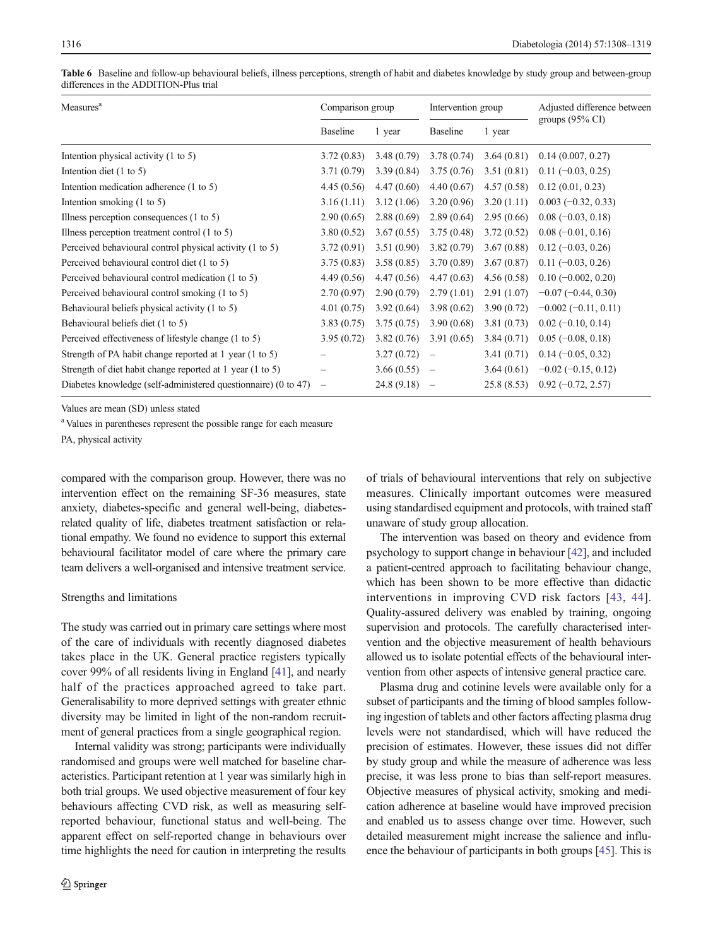<span id="page-8-0"></span>

| Table 6 Baseline and follow-up behavioural beliefs, illness perceptions, strength of habit and diabetes knowledge by study group and between-group |  |  |  |
|----------------------------------------------------------------------------------------------------------------------------------------------------|--|--|--|
| differences in the ADDITION-Plus trial                                                                                                             |  |  |  |

| Measures <sup>a</sup>                                          |                   | Comparison group |                          | Intervention group | Adjusted difference between |  |
|----------------------------------------------------------------|-------------------|------------------|--------------------------|--------------------|-----------------------------|--|
|                                                                | <b>Baseline</b>   | 1 year           | <b>Baseline</b>          | 1 year             | groups $(95\% \text{ CI})$  |  |
| Intention physical activity (1 to 5)                           | 3.72(0.83)        | 3.48(0.79)       | 3.78(0.74)               | 3.64(0.81)         | 0.14(0.007, 0.27)           |  |
| Intention diet $(1 \text{ to } 5)$                             | 3.71(0.79)        | 3.39(0.84)       | 3.75(0.76)               | 3.51(0.81)         | $0.11 (-0.03, 0.25)$        |  |
| Intention medication adherence (1 to 5)                        | 4.45(0.56)        | 4.47(0.60)       | 4.40(0.67)               | 4.57(0.58)         | 0.12(0.01, 0.23)            |  |
| Intention smoking $(1 \text{ to } 5)$                          | 3.16(1.11)        | 3.12(1.06)       | 3.20(0.96)               | 3.20(1.11)         | $0.003(-0.32, 0.33)$        |  |
| Illness perception consequences $(1 \text{ to } 5)$            | 2.90(0.65)        | 2.88(0.69)       | 2.89(0.64)               | 2.95(0.66)         | $0.08(-0.03, 0.18)$         |  |
| Illness perception treatment control (1 to 5)                  | 3.80(0.52)        | 3.67(0.55)       | 3.75(0.48)               | 3.72(0.52)         | $0.08(-0.01, 0.16)$         |  |
| Perceived behavioural control physical activity (1 to 5)       | 3.72(0.91)        | 3.51(0.90)       | 3.82(0.79)               | 3.67(0.88)         | $0.12(-0.03, 0.26)$         |  |
| Perceived behavioural control diet (1 to 5)                    | 3.75(0.83)        | 3.58(0.85)       | 3.70(0.89)               | 3.67(0.87)         | $0.11 (-0.03, 0.26)$        |  |
| Perceived behavioural control medication (1 to 5)              | 4.49(0.56)        | 4.47(0.56)       | 4.47(0.63)               | 4.56(0.58)         | $0.10(-0.002, 0.20)$        |  |
| Perceived behavioural control smoking (1 to 5)                 | 2.70(0.97)        | 2.90(0.79)       | 2.79(1.01)               | 2.91(1.07)         | $-0.07(-0.44, 0.30)$        |  |
| Behavioural beliefs physical activity (1 to 5)                 | 4.01(0.75)        | 3.92(0.64)       | 3.98(0.62)               | 3.90(0.72)         | $-0.002(-0.11, 0.11)$       |  |
| Behavioural beliefs diet (1 to 5)                              | 3.83(0.75)        | 3.75(0.75)       | 3.90(0.68)               | 3.81(0.73)         | $0.02(-0.10, 0.14)$         |  |
| Perceived effectiveness of lifestyle change (1 to 5)           | 3.95(0.72)        | 3.82(0.76)       | 3.91(0.65)               | 3.84(0.71)         | $0.05(-0.08, 0.18)$         |  |
| Strength of PA habit change reported at 1 year (1 to 5)        |                   | 3.27(0.72)       | $\overline{\phantom{a}}$ | 3.41(0.71)         | $0.14 (-0.05, 0.32)$        |  |
| Strength of diet habit change reported at 1 year (1 to 5)      |                   | 3.66(0.55)       | $\overline{\phantom{a}}$ | 3.64(0.61)         | $-0.02$ ( $-0.15$ , 0.12)   |  |
| Diabetes knowledge (self-administered questionnaire) (0 to 47) | $\qquad \qquad -$ | 24.8 (9.18)      |                          | 25.8(8.53)         | $0.92(-0.72, 2.57)$         |  |

Values are mean (SD) unless stated

<sup>a</sup> Values in parentheses represent the possible range for each measure

PA, physical activity

compared with the comparison group. However, there was no intervention effect on the remaining SF-36 measures, state anxiety, diabetes-specific and general well-being, diabetesrelated quality of life, diabetes treatment satisfaction or relational empathy. We found no evidence to support this external behavioural facilitator model of care where the primary care team delivers a well-organised and intensive treatment service.

#### Strengths and limitations

The study was carried out in primary care settings where most of the care of individuals with recently diagnosed diabetes takes place in the UK. General practice registers typically cover 99% of all residents living in England [\[41\]](#page-11-0), and nearly half of the practices approached agreed to take part. Generalisability to more deprived settings with greater ethnic diversity may be limited in light of the non-random recruitment of general practices from a single geographical region.

Internal validity was strong; participants were individually randomised and groups were well matched for baseline characteristics. Participant retention at 1 year was similarly high in both trial groups. We used objective measurement of four key behaviours affecting CVD risk, as well as measuring selfreported behaviour, functional status and well-being. The apparent effect on self-reported change in behaviours over time highlights the need for caution in interpreting the results of trials of behavioural interventions that rely on subjective measures. Clinically important outcomes were measured using standardised equipment and protocols, with trained staff unaware of study group allocation.

The intervention was based on theory and evidence from psychology to support change in behaviour [\[42\]](#page-11-0), and included a patient-centred approach to facilitating behaviour change, which has been shown to be more effective than didactic interventions in improving CVD risk factors [[43](#page-11-0), [44](#page-11-0)]. Quality-assured delivery was enabled by training, ongoing supervision and protocols. The carefully characterised intervention and the objective measurement of health behaviours allowed us to isolate potential effects of the behavioural intervention from other aspects of intensive general practice care.

Plasma drug and cotinine levels were available only for a subset of participants and the timing of blood samples following ingestion of tablets and other factors affecting plasma drug levels were not standardised, which will have reduced the precision of estimates. However, these issues did not differ by study group and while the measure of adherence was less precise, it was less prone to bias than self-report measures. Objective measures of physical activity, smoking and medication adherence at baseline would have improved precision and enabled us to assess change over time. However, such detailed measurement might increase the salience and influence the behaviour of participants in both groups [[45](#page-11-0)]. This is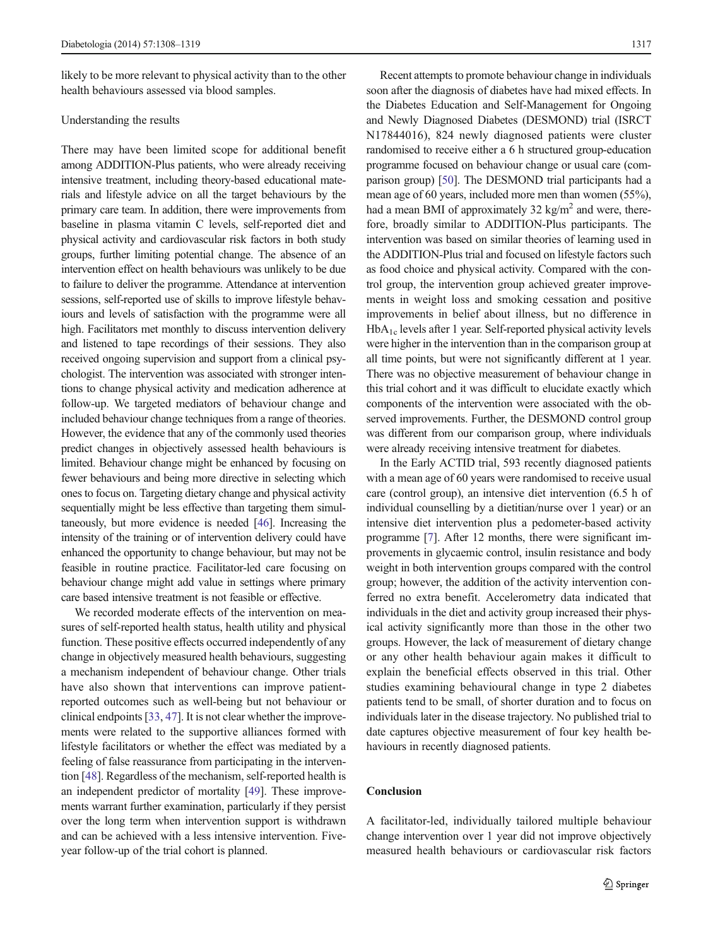likely to be more relevant to physical activity than to the other health behaviours assessed via blood samples.

### Understanding the results

There may have been limited scope for additional benefit among ADDITION-Plus patients, who were already receiving intensive treatment, including theory-based educational materials and lifestyle advice on all the target behaviours by the primary care team. In addition, there were improvements from baseline in plasma vitamin C levels, self-reported diet and physical activity and cardiovascular risk factors in both study groups, further limiting potential change. The absence of an intervention effect on health behaviours was unlikely to be due to failure to deliver the programme. Attendance at intervention sessions, self-reported use of skills to improve lifestyle behaviours and levels of satisfaction with the programme were all high. Facilitators met monthly to discuss intervention delivery and listened to tape recordings of their sessions. They also received ongoing supervision and support from a clinical psychologist. The intervention was associated with stronger intentions to change physical activity and medication adherence at follow-up. We targeted mediators of behaviour change and included behaviour change techniques from a range of theories. However, the evidence that any of the commonly used theories predict changes in objectively assessed health behaviours is limited. Behaviour change might be enhanced by focusing on fewer behaviours and being more directive in selecting which ones to focus on. Targeting dietary change and physical activity sequentially might be less effective than targeting them simultaneously, but more evidence is needed [\[46\]](#page-11-0). Increasing the intensity of the training or of intervention delivery could have enhanced the opportunity to change behaviour, but may not be feasible in routine practice. Facilitator-led care focusing on behaviour change might add value in settings where primary care based intensive treatment is not feasible or effective.

We recorded moderate effects of the intervention on measures of self-reported health status, health utility and physical function. These positive effects occurred independently of any change in objectively measured health behaviours, suggesting a mechanism independent of behaviour change. Other trials have also shown that interventions can improve patientreported outcomes such as well-being but not behaviour or clinical endpoints [\[33,](#page-11-0) [47](#page-11-0)]. It is not clear whether the improvements were related to the supportive alliances formed with lifestyle facilitators or whether the effect was mediated by a feeling of false reassurance from participating in the intervention [\[48](#page-11-0)]. Regardless of the mechanism, self-reported health is an independent predictor of mortality [[49](#page-11-0)]. These improvements warrant further examination, particularly if they persist over the long term when intervention support is withdrawn and can be achieved with a less intensive intervention. Fiveyear follow-up of the trial cohort is planned.

Recent attempts to promote behaviour change in individuals soon after the diagnosis of diabetes have had mixed effects. In the Diabetes Education and Self-Management for Ongoing and Newly Diagnosed Diabetes (DESMOND) trial (ISRCT N17844016), 824 newly diagnosed patients were cluster randomised to receive either a 6 h structured group-education programme focused on behaviour change or usual care (comparison group) [\[50\]](#page-11-0). The DESMOND trial participants had a mean age of 60 years, included more men than women (55%), had a mean BMI of approximately 32 kg/m<sup>2</sup> and were, therefore, broadly similar to ADDITION-Plus participants. The intervention was based on similar theories of learning used in the ADDITION-Plus trial and focused on lifestyle factors such as food choice and physical activity. Compared with the control group, the intervention group achieved greater improvements in weight loss and smoking cessation and positive improvements in belief about illness, but no difference in HbA1c levels after 1 year. Self-reported physical activity levels were higher in the intervention than in the comparison group at all time points, but were not significantly different at 1 year. There was no objective measurement of behaviour change in this trial cohort and it was difficult to elucidate exactly which components of the intervention were associated with the observed improvements. Further, the DESMOND control group was different from our comparison group, where individuals were already receiving intensive treatment for diabetes.

In the Early ACTID trial, 593 recently diagnosed patients with a mean age of 60 years were randomised to receive usual care (control group), an intensive diet intervention (6.5 h of individual counselling by a dietitian/nurse over 1 year) or an intensive diet intervention plus a pedometer-based activity programme [\[7](#page-10-0)]. After 12 months, there were significant improvements in glycaemic control, insulin resistance and body weight in both intervention groups compared with the control group; however, the addition of the activity intervention conferred no extra benefit. Accelerometry data indicated that individuals in the diet and activity group increased their physical activity significantly more than those in the other two groups. However, the lack of measurement of dietary change or any other health behaviour again makes it difficult to explain the beneficial effects observed in this trial. Other studies examining behavioural change in type 2 diabetes patients tend to be small, of shorter duration and to focus on individuals later in the disease trajectory. No published trial to date captures objective measurement of four key health behaviours in recently diagnosed patients.

## **Conclusion**

A facilitator-led, individually tailored multiple behaviour change intervention over 1 year did not improve objectively measured health behaviours or cardiovascular risk factors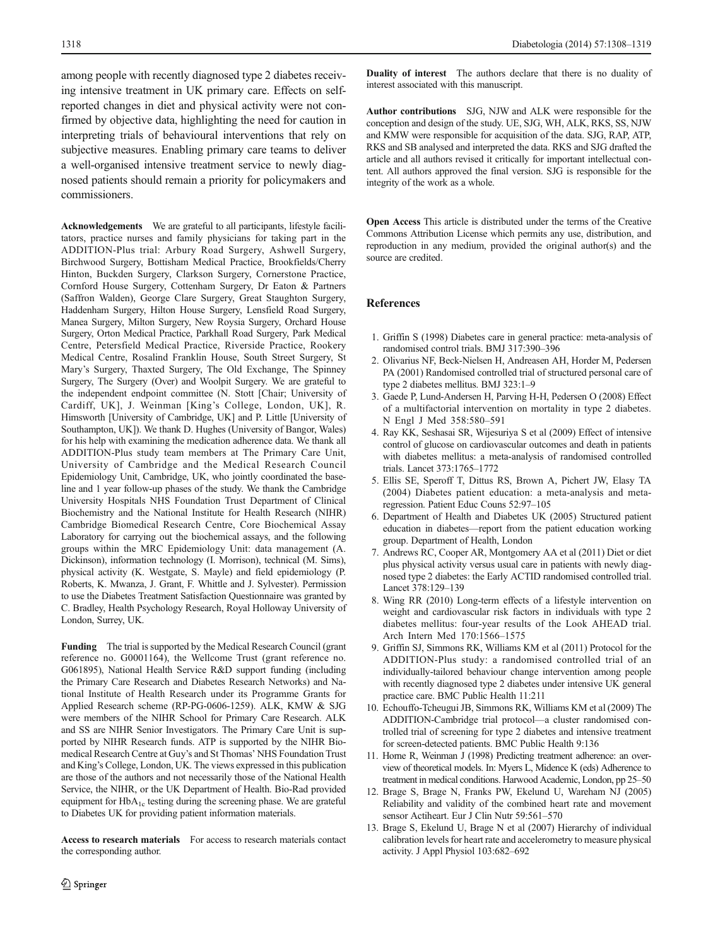<span id="page-10-0"></span>among people with recently diagnosed type 2 diabetes receiving intensive treatment in UK primary care. Effects on selfreported changes in diet and physical activity were not confirmed by objective data, highlighting the need for caution in interpreting trials of behavioural interventions that rely on subjective measures. Enabling primary care teams to deliver a well-organised intensive treatment service to newly diagnosed patients should remain a priority for policymakers and commissioners.

Acknowledgements We are grateful to all participants, lifestyle facilitators, practice nurses and family physicians for taking part in the ADDITION-Plus trial: Arbury Road Surgery, Ashwell Surgery, Birchwood Surgery, Bottisham Medical Practice, Brookfields/Cherry Hinton, Buckden Surgery, Clarkson Surgery, Cornerstone Practice, Cornford House Surgery, Cottenham Surgery, Dr Eaton & Partners (Saffron Walden), George Clare Surgery, Great Staughton Surgery, Haddenham Surgery, Hilton House Surgery, Lensfield Road Surgery, Manea Surgery, Milton Surgery, New Roysia Surgery, Orchard House Surgery, Orton Medical Practice, Parkhall Road Surgery, Park Medical Centre, Petersfield Medical Practice, Riverside Practice, Rookery Medical Centre, Rosalind Franklin House, South Street Surgery, St Mary's Surgery, Thaxted Surgery, The Old Exchange, The Spinney Surgery, The Surgery (Over) and Woolpit Surgery. We are grateful to the independent endpoint committee (N. Stott [Chair; University of Cardiff, UK], J. Weinman [King's College, London, UK], R. Himsworth [University of Cambridge, UK] and P. Little [University of Southampton, UK]). We thank D. Hughes (University of Bangor, Wales) for his help with examining the medication adherence data. We thank all ADDITION-Plus study team members at The Primary Care Unit, University of Cambridge and the Medical Research Council Epidemiology Unit, Cambridge, UK, who jointly coordinated the baseline and 1 year follow-up phases of the study. We thank the Cambridge University Hospitals NHS Foundation Trust Department of Clinical Biochemistry and the National Institute for Health Research (NIHR) Cambridge Biomedical Research Centre, Core Biochemical Assay Laboratory for carrying out the biochemical assays, and the following groups within the MRC Epidemiology Unit: data management (A. Dickinson), information technology (I. Morrison), technical (M. Sims), physical activity (K. Westgate, S. Mayle) and field epidemiology (P. Roberts, K. Mwanza, J. Grant, F. Whittle and J. Sylvester). Permission to use the Diabetes Treatment Satisfaction Questionnaire was granted by C. Bradley, Health Psychology Research, Royal Holloway University of London, Surrey, UK.

Funding The trial is supported by the Medical Research Council (grant reference no. G0001164), the Wellcome Trust (grant reference no. G061895), National Health Service R&D support funding (including the Primary Care Research and Diabetes Research Networks) and National Institute of Health Research under its Programme Grants for Applied Research scheme (RP-PG-0606-1259). ALK, KMW & SJG were members of the NIHR School for Primary Care Research. ALK and SS are NIHR Senior Investigators. The Primary Care Unit is supported by NIHR Research funds. ATP is supported by the NIHR Biomedical Research Centre at Guy's and St Thomas' NHS Foundation Trust and King's College, London, UK. The views expressed in this publication are those of the authors and not necessarily those of the National Health Service, the NIHR, or the UK Department of Health. Bio-Rad provided equipment for  $HbA_{1c}$  testing during the screening phase. We are grateful to Diabetes UK for providing patient information materials.

Access to research materials For access to research materials contact the corresponding author.

Duality of interest The authors declare that there is no duality of interest associated with this manuscript.

Author contributions SJG, NJW and ALK were responsible for the conception and design of the study. UE, SJG, WH, ALK, RKS, SS, NJW and KMW were responsible for acquisition of the data. SJG, RAP, ATP, RKS and SB analysed and interpreted the data. RKS and SJG drafted the article and all authors revised it critically for important intellectual content. All authors approved the final version. SJG is responsible for the integrity of the work as a whole.

Open Access This article is distributed under the terms of the Creative Commons Attribution License which permits any use, distribution, and reproduction in any medium, provided the original author(s) and the source are credited.

#### References

- 1. Griffin S (1998) Diabetes care in general practice: meta-analysis of randomised control trials. BMJ 317:390–396
- 2. Olivarius NF, Beck-Nielsen H, Andreasen AH, Horder M, Pedersen PA (2001) Randomised controlled trial of structured personal care of type 2 diabetes mellitus. BMJ 323:1–9
- 3. Gaede P, Lund-Andersen H, Parving H-H, Pedersen O (2008) Effect of a multifactorial intervention on mortality in type 2 diabetes. N Engl J Med 358:580–591
- 4. Ray KK, Seshasai SR, Wijesuriya S et al (2009) Effect of intensive control of glucose on cardiovascular outcomes and death in patients with diabetes mellitus: a meta-analysis of randomised controlled trials. Lancet 373:1765–1772
- 5. Ellis SE, Speroff T, Dittus RS, Brown A, Pichert JW, Elasy TA (2004) Diabetes patient education: a meta-analysis and metaregression. Patient Educ Couns 52:97–105
- 6. Department of Health and Diabetes UK (2005) Structured patient education in diabetes—report from the patient education working group. Department of Health, London
- 7. Andrews RC, Cooper AR, Montgomery AA et al (2011) Diet or diet plus physical activity versus usual care in patients with newly diagnosed type 2 diabetes: the Early ACTID randomised controlled trial. Lancet 378:129–139
- 8. Wing RR (2010) Long-term effects of a lifestyle intervention on weight and cardiovascular risk factors in individuals with type 2 diabetes mellitus: four-year results of the Look AHEAD trial. Arch Intern Med 170:1566–1575
- 9. Griffin SJ, Simmons RK, Williams KM et al (2011) Protocol for the ADDITION-Plus study: a randomised controlled trial of an individually-tailored behaviour change intervention among people with recently diagnosed type 2 diabetes under intensive UK general practice care. BMC Public Health 11:211
- 10. Echouffo-Tcheugui JB, Simmons RK, Williams KM et al (2009) The ADDITION-Cambridge trial protocol—a cluster randomised controlled trial of screening for type 2 diabetes and intensive treatment for screen-detected patients. BMC Public Health 9:136
- 11. Horne R, Weinman J (1998) Predicting treatment adherence: an overview of theoretical models. In: Myers L, Midence K (eds) Adherence to treatment in medical conditions. Harwood Academic, London, pp 25–50
- 12. Brage S, Brage N, Franks PW, Ekelund U, Wareham NJ (2005) Reliability and validity of the combined heart rate and movement sensor Actiheart. Eur J Clin Nutr 59:561–570
- 13. Brage S, Ekelund U, Brage N et al (2007) Hierarchy of individual calibration levels for heart rate and accelerometry to measure physical activity. J Appl Physiol 103:682–692